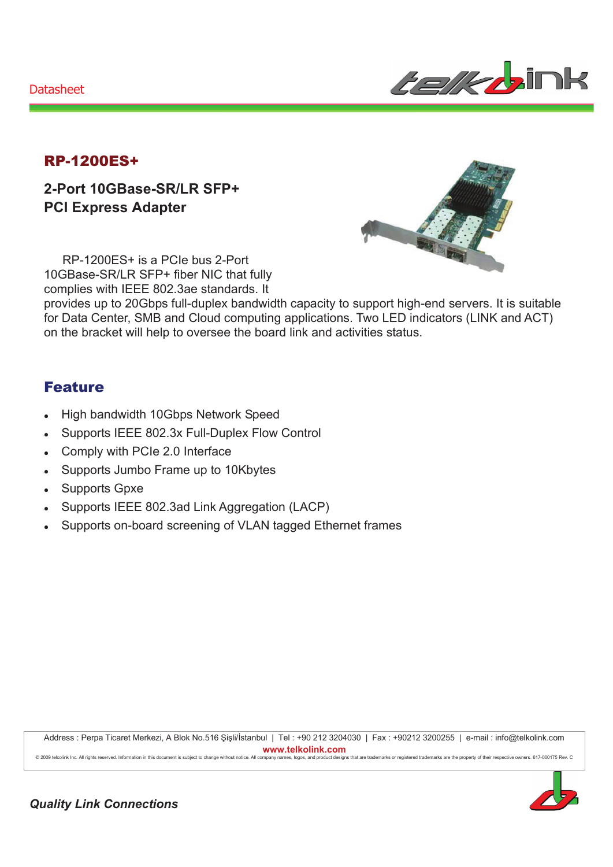**Datasheet** 



## **RP-1200ES+**

2-Port 10GBase-SR/LR SFP+ **PCI Express Adapter** 

RP-1200ES+ is a PCIe bus 2-Port 10GBase-SR/LR SFP+ fiber NIC that fully complies with IEEE 802.3ae standards. It

provides up to 20Gbps full-duplex bandwidth capacity to support high-end servers. It is suitable for Data Center, SMB and Cloud computing applications. Two LED indicators (LINK and ACT) on the bracket will help to oversee the board link and activities status.

## **Feature**

- High bandwidth 10Gbps Network Speed
- Supports IEEE 802.3x Full-Duplex Flow Control  $\bullet$
- Comply with PCIe 2.0 Interface
- Supports Jumbo Frame up to 10Kbytes  $\bullet$
- Supports Gpxe  $\bullet$
- Supports IEEE 802.3ad Link Aggregation (LACP)
- Supports on-board screening of VLAN tagged Ethernet frames  $\ddot{\phantom{0}}$

Address : Perpa Ticaret Merkezi, A Blok No.516 Şişli/İstanbul | Tel : +90 212 3204030 | Fax : +90212 3200255 | e-mail : info@telkolink.com www.telkolink.com